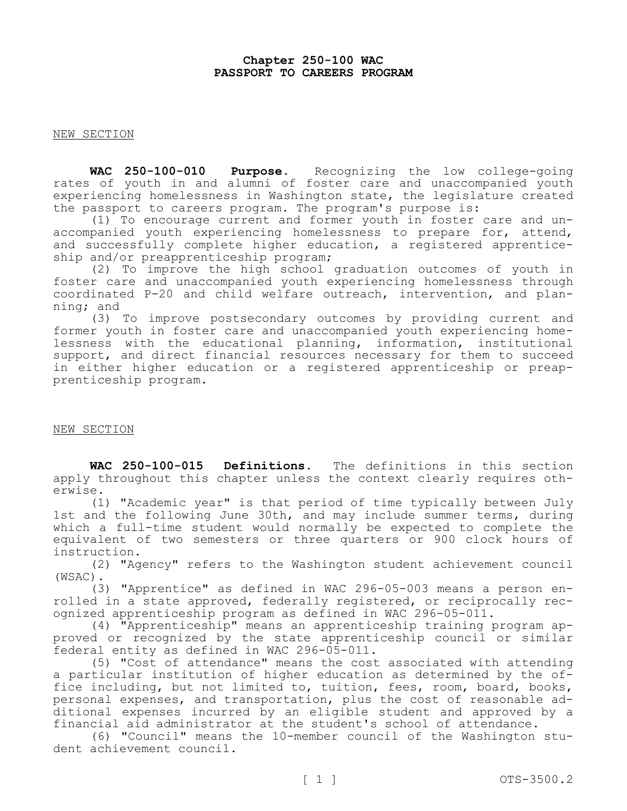# **Chapter 250-100 WAC PASSPORT TO CAREERS PROGRAM**

NEW SECTION

**WAC 250-100-010 Purpose.** Recognizing the low college-going rates of youth in and alumni of foster care and unaccompanied youth experiencing homelessness in Washington state, the legislature created the passport to careers program. The program's purpose is:

(1) To encourage current and former youth in foster care and unaccompanied youth experiencing homelessness to prepare for, attend, and successfully complete higher education, a registered apprenticeship and/or preapprenticeship program;

(2) To improve the high school graduation outcomes of youth in foster care and unaccompanied youth experiencing homelessness through coordinated P-20 and child welfare outreach, intervention, and planning; and

(3) To improve postsecondary outcomes by providing current and former youth in foster care and unaccompanied youth experiencing homelessness with the educational planning, information, institutional support, and direct financial resources necessary for them to succeed in either higher education or a registered apprenticeship or preapprenticeship program.

## NEW SECTION

**WAC 250-100-015 Definitions.** The definitions in this section apply throughout this chapter unless the context clearly requires otherwise.

(1) "Academic year" is that period of time typically between July 1st and the following June 30th, and may include summer terms, during which a full-time student would normally be expected to complete the equivalent of two semesters or three quarters or 900 clock hours of instruction.

(2) "Agency" refers to the Washington student achievement council (WSAC).

(3) "Apprentice" as defined in WAC 296-05-003 means a person enrolled in a state approved, federally registered, or reciprocally recognized apprenticeship program as defined in WAC 296-05-011.

(4) "Apprenticeship" means an apprenticeship training program approved or recognized by the state apprenticeship council or similar federal entity as defined in WAC 296-05-011.

(5) "Cost of attendance" means the cost associated with attending a particular institution of higher education as determined by the office including, but not limited to, tuition, fees, room, board, books, personal expenses, and transportation, plus the cost of reasonable additional expenses incurred by an eligible student and approved by a financial aid administrator at the student's school of attendance.

(6) "Council" means the 10-member council of the Washington student achievement council.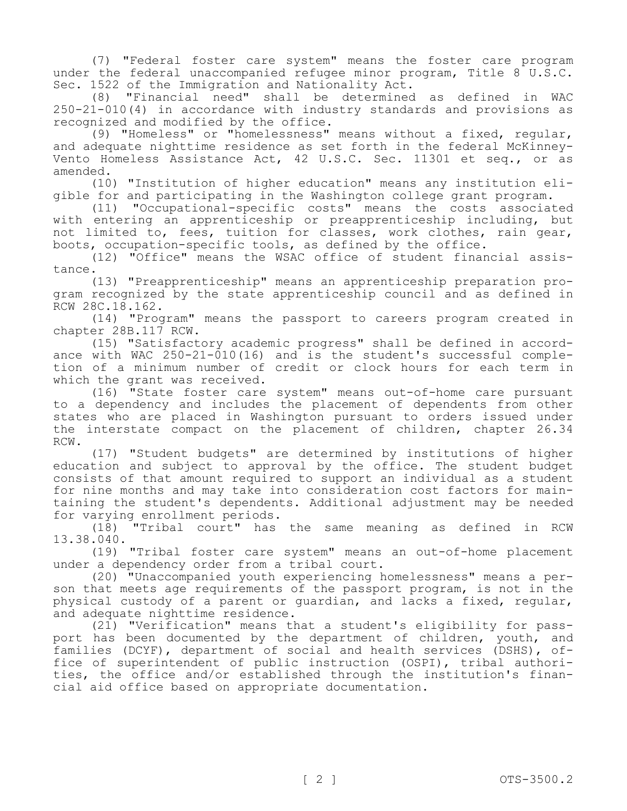(7) "Federal foster care system" means the foster care program under the federal unaccompanied refugee minor program, Title 8 U.S.C. Sec. 1522 of the Immigration and Nationality Act.

(8) "Financial need" shall be determined as defined in WAC 250-21-010(4) in accordance with industry standards and provisions as recognized and modified by the office.

(9) "Homeless" or "homelessness" means without a fixed, regular, and adequate nighttime residence as set forth in the federal McKinney-Vento Homeless Assistance Act, 42 U.S.C. Sec. 11301 et seq., or as amended.

(10) "Institution of higher education" means any institution eligible for and participating in the Washington college grant program.

(11) "Occupational-specific costs" means the costs associated with entering an apprenticeship or preapprenticeship including, but not limited to, fees, tuition for classes, work clothes, rain gear, boots, occupation-specific tools, as defined by the office.

(12) "Office" means the WSAC office of student financial assistance.

(13) "Preapprenticeship" means an apprenticeship preparation program recognized by the state apprenticeship council and as defined in RCW 28C.18.162.

(14) "Program" means the passport to careers program created in chapter 28B.117 RCW.

(15) "Satisfactory academic progress" shall be defined in accordance with WAC  $250-21-010(16)$  and is the student's successful completion of a minimum number of credit or clock hours for each term in which the grant was received.

(16) "State foster care system" means out-of-home care pursuant to a dependency and includes the placement of dependents from other states who are placed in Washington pursuant to orders issued under the interstate compact on the placement of children, chapter 26.34 RCW.

(17) "Student budgets" are determined by institutions of higher education and subject to approval by the office. The student budget consists of that amount required to support an individual as a student for nine months and may take into consideration cost factors for maintaining the student's dependents. Additional adjustment may be needed for varying enrollment periods.

(18) "Tribal court" has the same meaning as defined in RCW 13.38.040.

(19) "Tribal foster care system" means an out-of-home placement under a dependency order from a tribal court.

(20) "Unaccompanied youth experiencing homelessness" means a person that meets age requirements of the passport program, is not in the physical custody of a parent or guardian, and lacks a fixed, regular, and adequate nighttime residence.

(21) "Verification" means that a student's eligibility for passport has been documented by the department of children, youth, and families (DCYF), department of social and health services (DSHS), office of superintendent of public instruction (OSPI), tribal authorities, the office and/or established through the institution's financial aid office based on appropriate documentation.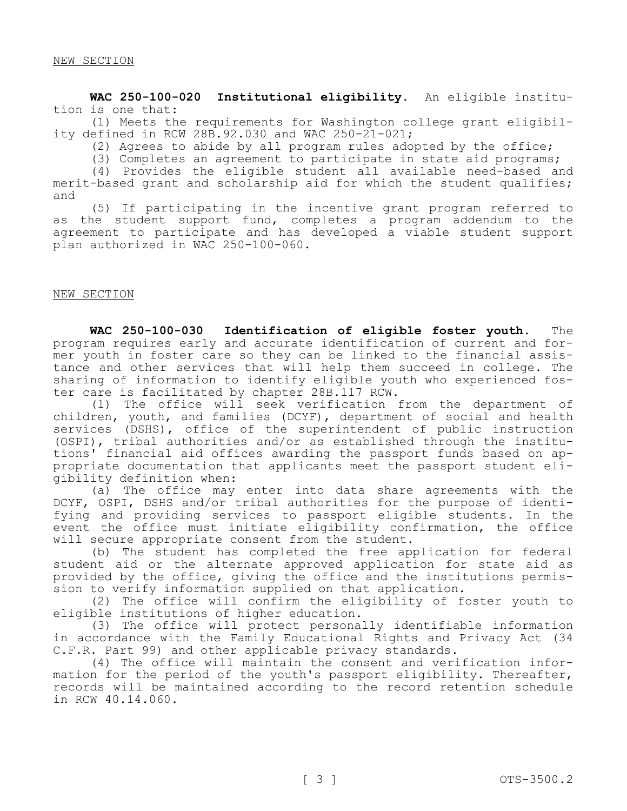**WAC 250-100-020 Institutional eligibility.** An eligible institution is one that:

(1) Meets the requirements for Washington college grant eligibility defined in RCW 28B.92.030 and WAC 250-21-021;

(2) Agrees to abide by all program rules adopted by the office;

(3) Completes an agreement to participate in state aid programs;

(4) Provides the eligible student all available need-based and merit-based grant and scholarship aid for which the student qualifies; and

(5) If participating in the incentive grant program referred to as the student support fund, completes a program addendum to the agreement to participate and has developed a viable student support plan authorized in WAC 250-100-060.

## NEW SECTION

**WAC 250-100-030 Identification of eligible foster youth.** The program requires early and accurate identification of current and former youth in foster care so they can be linked to the financial assistance and other services that will help them succeed in college. The sharing of information to identify eligible youth who experienced foster care is facilitated by chapter 28B.117 RCW.

(1) The office will seek verification from the department of children, youth, and families (DCYF), department of social and health services (DSHS), office of the superintendent of public instruction (OSPI), tribal authorities and/or as established through the institutions' financial aid offices awarding the passport funds based on appropriate documentation that applicants meet the passport student eligibility definition when:

(a) The office may enter into data share agreements with the DCYF, OSPI, DSHS and/or tribal authorities for the purpose of identifying and providing services to passport eligible students. In the event the office must initiate eligibility confirmation, the office will secure appropriate consent from the student.

(b) The student has completed the free application for federal student aid or the alternate approved application for state aid as provided by the office, giving the office and the institutions permission to verify information supplied on that application.

(2) The office will confirm the eligibility of foster youth to eligible institutions of higher education.

(3) The office will protect personally identifiable information in accordance with the Family Educational Rights and Privacy Act (34 C.F.R. Part 99) and other applicable privacy standards.

(4) The office will maintain the consent and verification information for the period of the youth's passport eligibility. Thereafter, records will be maintained according to the record retention schedule in RCW 40.14.060.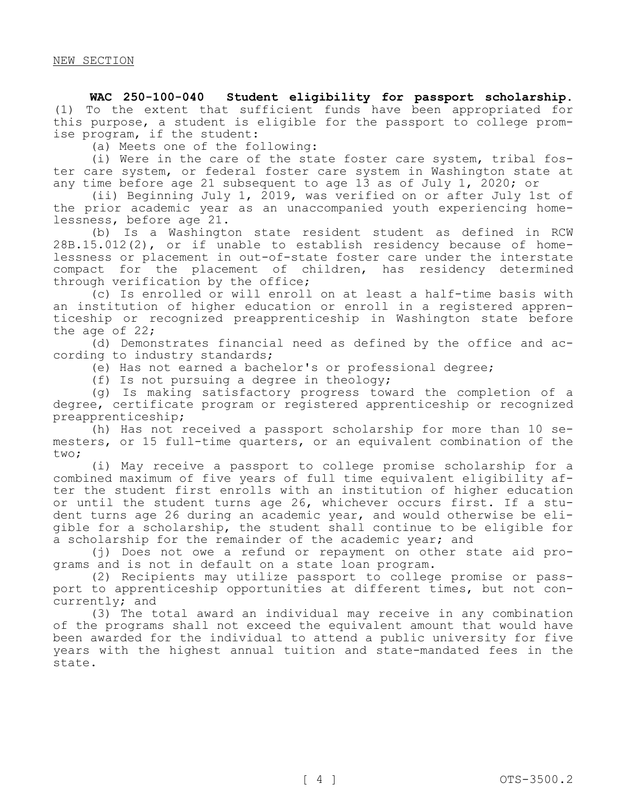**WAC 250-100-040 Student eligibility for passport scholarship.**  (1) To the extent that sufficient funds have been appropriated for this purpose, a student is eligible for the passport to college promise program, if the student:

(a) Meets one of the following:

(i) Were in the care of the state foster care system, tribal foster care system, or federal foster care system in Washington state at any time before age 21 subsequent to age 13 as of July 1, 2020; or

(ii) Beginning July 1, 2019, was verified on or after July 1st of the prior academic year as an unaccompanied youth experiencing homelessness, before age 21.

(b) Is a Washington state resident student as defined in RCW 28B.15.012(2), or if unable to establish residency because of homelessness or placement in out-of-state foster care under the interstate compact for the placement of children, has residency determined through verification by the office;

(c) Is enrolled or will enroll on at least a half-time basis with an institution of higher education or enroll in a registered apprenticeship or recognized preapprenticeship in Washington state before the age of 22;

(d) Demonstrates financial need as defined by the office and according to industry standards;

(e) Has not earned a bachelor's or professional degree;

(f) Is not pursuing a degree in theology;

(g) Is making satisfactory progress toward the completion of a degree, certificate program or registered apprenticeship or recognized preapprenticeship;

(h) Has not received a passport scholarship for more than 10 semesters, or 15 full-time quarters, or an equivalent combination of the two;

(i) May receive a passport to college promise scholarship for a combined maximum of five years of full time equivalent eligibility after the student first enrolls with an institution of higher education or until the student turns age 26, whichever occurs first. If a student turns age 26 during an academic year, and would otherwise be eligible for a scholarship, the student shall continue to be eligible for a scholarship for the remainder of the academic year; and

(j) Does not owe a refund or repayment on other state aid programs and is not in default on a state loan program.

(2) Recipients may utilize passport to college promise or passport to apprenticeship opportunities at different times, but not concurrently; and

(3) The total award an individual may receive in any combination of the programs shall not exceed the equivalent amount that would have been awarded for the individual to attend a public university for five years with the highest annual tuition and state-mandated fees in the state.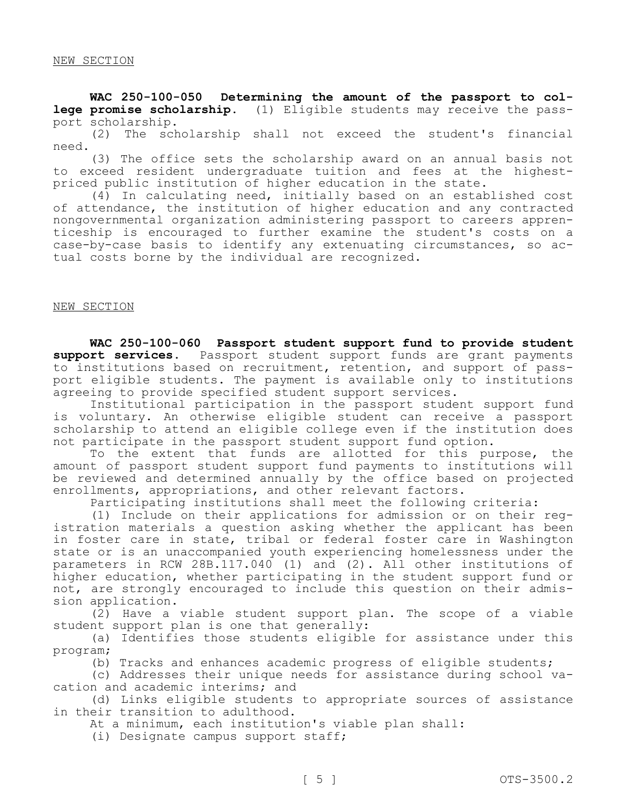**WAC 250-100-050 Determining the amount of the passport to college promise scholarship.** (1) Eligible students may receive the pass-

port scholarship.<br>(2) The sch The scholarship shall not exceed the student's financial need.

(3) The office sets the scholarship award on an annual basis not to exceed resident undergraduate tuition and fees at the highestpriced public institution of higher education in the state.

(4) In calculating need, initially based on an established cost of attendance, the institution of higher education and any contracted nongovernmental organization administering passport to careers apprenticeship is encouraged to further examine the student's costs on a case-by-case basis to identify any extenuating circumstances, so actual costs borne by the individual are recognized.

NEW SECTION

**WAC 250-100-060 Passport student support fund to provide student support services.** Passport student support funds are grant payments to institutions based on recruitment, retention, and support of passport eligible students. The payment is available only to institutions agreeing to provide specified student support services.

Institutional participation in the passport student support fund is voluntary. An otherwise eligible student can receive a passport scholarship to attend an eligible college even if the institution does not participate in the passport student support fund option.

To the extent that funds are allotted for this purpose, the amount of passport student support fund payments to institutions will be reviewed and determined annually by the office based on projected enrollments, appropriations, and other relevant factors.

Participating institutions shall meet the following criteria:

(1) Include on their applications for admission or on their registration materials a question asking whether the applicant has been in foster care in state, tribal or federal foster care in Washington state or is an unaccompanied youth experiencing homelessness under the parameters in RCW 28B.117.040 (1) and (2). All other institutions of higher education, whether participating in the student support fund or not, are strongly encouraged to include this question on their admission application.

(2) Have a viable student support plan. The scope of a viable student support plan is one that generally:

(a) Identifies those students eligible for assistance under this program;

(b) Tracks and enhances academic progress of eligible students;

(c) Addresses their unique needs for assistance during school vacation and academic interims; and

(d) Links eligible students to appropriate sources of assistance in their transition to adulthood.

At a minimum, each institution's viable plan shall:

(i) Designate campus support staff;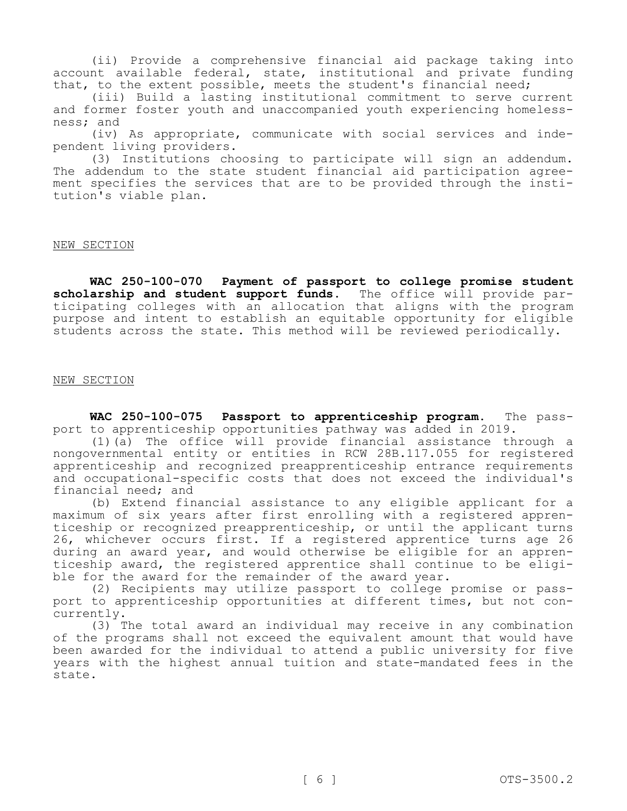(ii) Provide a comprehensive financial aid package taking into account available federal, state, institutional and private funding that, to the extent possible, meets the student's financial need;

(iii) Build a lasting institutional commitment to serve current and former foster youth and unaccompanied youth experiencing homelessness; and

(iv) As appropriate, communicate with social services and independent living providers.

(3) Institutions choosing to participate will sign an addendum. The addendum to the state student financial aid participation agreement specifies the services that are to be provided through the institution's viable plan.

## NEW SECTION

**WAC 250-100-070 Payment of passport to college promise student scholarship and student support funds.** The office will provide participating colleges with an allocation that aligns with the program purpose and intent to establish an equitable opportunity for eligible students across the state. This method will be reviewed periodically.

## NEW SECTION

**WAC 250-100-075 Passport to apprenticeship program.** The passport to apprenticeship opportunities pathway was added in 2019.

(1)(a) The office will provide financial assistance through a nongovernmental entity or entities in RCW 28B.117.055 for registered apprenticeship and recognized preapprenticeship entrance requirements and occupational-specific costs that does not exceed the individual's financial need; and

(b) Extend financial assistance to any eligible applicant for a maximum of six years after first enrolling with a registered apprenticeship or recognized preapprenticeship, or until the applicant turns 26, whichever occurs first. If a registered apprentice turns age 26 during an award year, and would otherwise be eligible for an apprenticeship award, the registered apprentice shall continue to be eligible for the award for the remainder of the award year.

(2) Recipients may utilize passport to college promise or passport to apprenticeship opportunities at different times, but not concurrently.

(3) The total award an individual may receive in any combination of the programs shall not exceed the equivalent amount that would have been awarded for the individual to attend a public university for five years with the highest annual tuition and state-mandated fees in the state.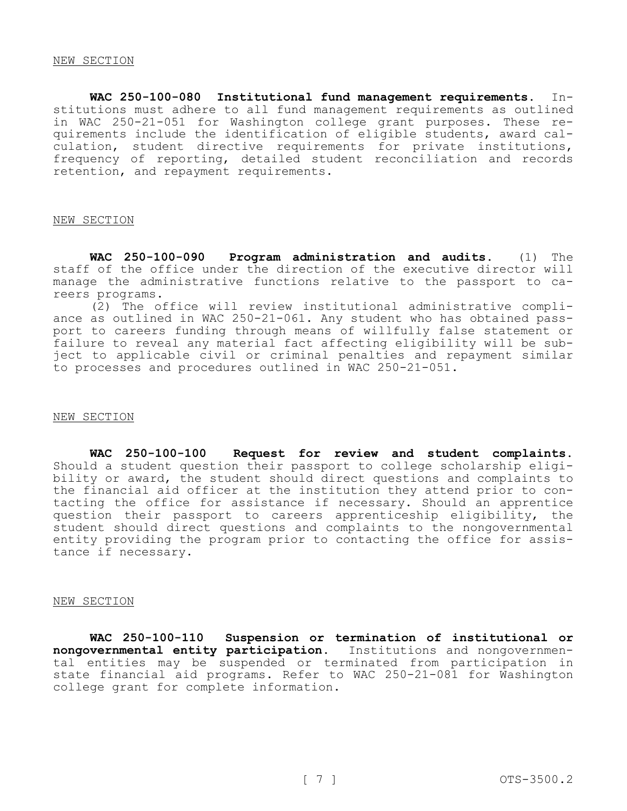**WAC 250-100-080 Institutional fund management requirements.** Institutions must adhere to all fund management requirements as outlined in WAC 250-21-051 for Washington college grant purposes. These requirements include the identification of eligible students, award calculation, student directive requirements for private institutions, frequency of reporting, detailed student reconciliation and records retention, and repayment requirements.

#### NEW SECTION

**WAC 250-100-090 Program administration and audits.** (1) The staff of the office under the direction of the executive director will manage the administrative functions relative to the passport to careers programs.

(2) The office will review institutional administrative compliance as outlined in WAC 250-21-061. Any student who has obtained passport to careers funding through means of willfully false statement or failure to reveal any material fact affecting eligibility will be subject to applicable civil or criminal penalties and repayment similar to processes and procedures outlined in WAC 250-21-051.

#### NEW SECTION

**WAC 250-100-100 Request for review and student complaints.**  Should a student question their passport to college scholarship eligibility or award, the student should direct questions and complaints to the financial aid officer at the institution they attend prior to contacting the office for assistance if necessary. Should an apprentice question their passport to careers apprenticeship eligibility, the student should direct questions and complaints to the nongovernmental entity providing the program prior to contacting the office for assistance if necessary.

#### NEW SECTION

**WAC 250-100-110 Suspension or termination of institutional or nongovernmental entity participation.** Institutions and nongovernmental entities may be suspended or terminated from participation in state financial aid programs. Refer to WAC 250-21-081 for Washington college grant for complete information.